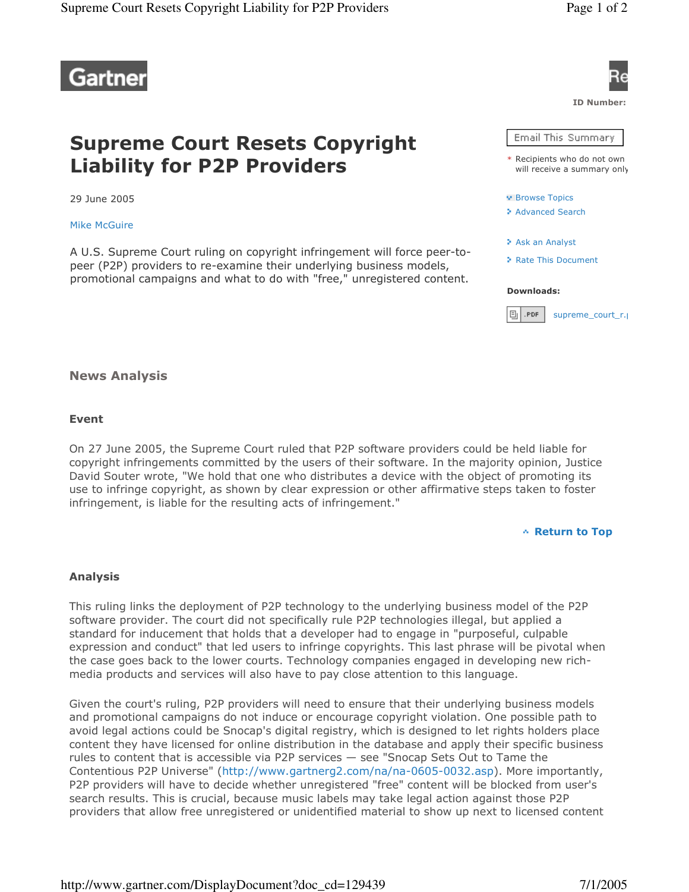

# **Supreme Court Resets Copyright Liability for P2P Providers**

29 June 2005

**Mike McGuire** 

A U.S. Supreme Court ruling on copyright infringement will force peer-topeer (P2P) providers to re-examine their underlying business models, promotional campaigns and what to do with "free," unregistered content.



## **News Analysis**

### **Event**

On 27 June 2005, the Supreme Court ruled that P2P software providers could be held liable for copyright infringements committed by the users of their software. In the majority opinion, Justice David Souter wrote, "We hold that one who distributes a device with the object of promoting its use to infringe copyright, as shown by clear expression or other affirmative steps taken to foster infringement, is liable for the resulting acts of infringement."



### **Analysis**

This ruling links the deployment of P2P technology to the underlying business model of the P2P software provider. The court did not specifically rule P2P technologies illegal, but applied a standard for inducement that holds that a developer had to engage in "purposeful, culpable expression and conduct" that led users to infringe copyrights. This last phrase will be pivotal when the case goes back to the lower courts. Technology companies engaged in developing new richmedia products and services will also have to pay close attention to this language.

Given the court's ruling, P2P providers will need to ensure that their underlying business models and promotional campaigns do not induce or encourage copyright violation. One possible path to avoid legal actions could be Snocap's digital registry, which is designed to let rights holders place content they have licensed for online distribution in the database and apply their specific business rules to content that is accessible via P2P services - see "Snocap Sets Out to Tame the Contentious P2P Universe" (http://www.gartnerg2.com/na/na-0605-0032.asp). More importantly, P2P providers will have to decide whether unregistered "free" content will be blocked from user's search results. This is crucial, because music labels may take legal action against those P2P providers that allow free unregistered or unidentified material to show up next to licensed content